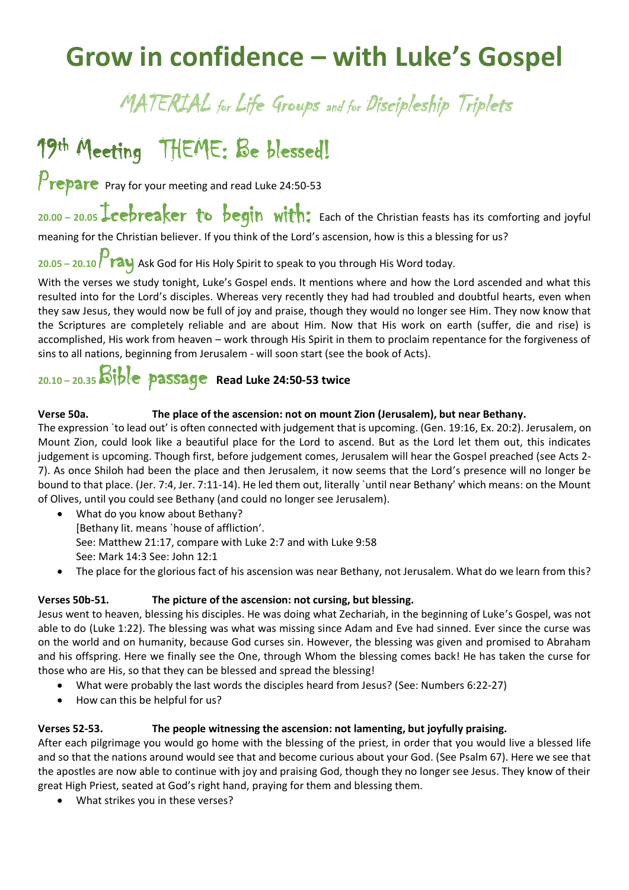# **Grow in confidence – with Luke's Gospel**

### MATERIAL for Life Groups and for Discipleship Triplets

## 19 th Meeting THEME: Be blessed!

 $P$ repare Pray for your meeting and read Luke 24:50-53

20.00 - 20.05 **Leebreaker to begin with:** Each of the Christian feasts has its comforting and joyful meaning for the Christian believer. If you think of the Lord's ascension, how is this a blessing for us?

**20.05 – 20.10** Pray Ask God for His Holy Spirit to speak to you through His Word today.

With the verses we study tonight, Luke's Gospel ends. It mentions where and how the Lord ascended and what this resulted into for the Lord's disciples. Whereas very recently they had had troubled and doubtful hearts, even when they saw Jesus, they would now be full of joy and praise, though they would no longer see Him. They now know that the Scriptures are completely reliable and are about Him. Now that His work on earth (suffer, die and rise) is accomplished, His work from heaven – work through His Spirit in them to proclaim repentance for the forgiveness of sins to all nations, beginning from Jerusalem - will soon start (see the book of Acts).

### **20.10 – 20.35** Bible passage **Read Luke 24:50-53 twice**

#### **Verse 50a. The place of the ascension: not on mount Zion (Jerusalem), but near Bethany.**

The expression `to lead out' is often connected with judgement that is upcoming. (Gen. 19:16, Ex. 20:2). Jerusalem, on Mount Zion, could look like a beautiful place for the Lord to ascend. But as the Lord let them out, this indicates judgement is upcoming. Though first, before judgement comes, Jerusalem will hear the Gospel preached (see Acts 2-7). As once Shiloh had been the place and then Jerusalem, it now seems that the Lord's presence will no longer be bound to that place. (Jer. 7:4, Jer. 7:11-14). He led them out, literally `until near Bethany' which means: on the Mount of Olives, until you could see Bethany (and could no longer see Jerusalem).

- What do you know about Bethany? [Bethany lit. means `house of affliction'. See: Matthew 21:17, compare with Luke 2:7 and with Luke 9:58 See: Mark 14:3 See: John 12:1
- The place for the glorious fact of his ascension was near Bethany, not Jerusalem. What do we learn from this?

#### **Verses 50b-51. The picture of the ascension: not cursing, but blessing.**

Jesus went to heaven, blessing his disciples. He was doing what Zechariah, in the beginning of Luke's Gospel, was not able to do (Luke 1:22). The blessing was what was missing since Adam and Eve had sinned. Ever since the curse was on the world and on humanity, because God curses sin. However, the blessing was given and promised to Abraham and his offspring. Here we finally see the One, through Whom the blessing comes back! He has taken the curse for those who are His, so that they can be blessed and spread the blessing!

- What were probably the last words the disciples heard from Jesus? (See: Numbers 6:22-27)
- How can this be helpful for us?

#### **Verses 52-53. The people witnessing the ascension: not lamenting, but joyfully praising.**

After each pilgrimage you would go home with the blessing of the priest, in order that you would live a blessed life and so that the nations around would see that and become curious about your God. (See Psalm 67). Here we see that the apostles are now able to continue with joy and praising God, though they no longer see Jesus. They know of their great High Priest, seated at God's right hand, praying for them and blessing them.

• What strikes you in these verses?